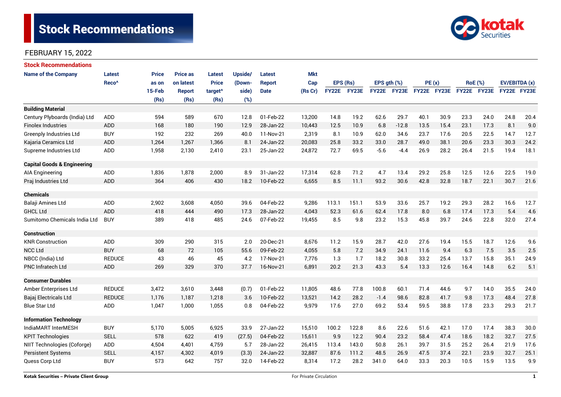

| <b>Stock Recommendations</b>           |                   |              |                 |                     |         |               |            |              |              |               |             |             |      |                |      |               |      |
|----------------------------------------|-------------------|--------------|-----------------|---------------------|---------|---------------|------------|--------------|--------------|---------------|-------------|-------------|------|----------------|------|---------------|------|
| <b>Name of the Company</b>             | <b>Latest</b>     | <b>Price</b> | <b>Price as</b> | <b>Latest</b>       | Upside/ | <b>Latest</b> | <b>Mkt</b> |              |              |               |             |             |      |                |      |               |      |
|                                        | Reco <sup>^</sup> | as on        | on latest       | <b>Price</b>        | (Down-  | <b>Report</b> | Cap        | EPS (Rs)     |              | EPS $gth$ $%$ |             | PE(x)       |      | <b>RoE</b> (%) |      | EV/EBITDA (x) |      |
|                                        |                   | 15-Feb       | <b>Report</b>   | target <sup>^</sup> | side)   | <b>Date</b>   | (Rs Cr)    | <b>FY22E</b> | <b>FY23E</b> |               | FY22E FY23E | FY22E FY23E |      | FY22E FY23E    |      | FY22E FY23E   |      |
|                                        |                   | (Rs)         | (Rs)            | (Rs)                | (%)     |               |            |              |              |               |             |             |      |                |      |               |      |
| <b>Building Material</b>               |                   |              |                 |                     |         |               |            |              |              |               |             |             |      |                |      |               |      |
| Century Plyboards (India) Ltd          | <b>ADD</b>        | 594          | 589             | 670                 | 12.8    | 01-Feb-22     | 13,200     | 14.8         | 19.2         | 62.6          | 29.7        | 40.1        | 30.9 | 23.3           | 24.0 | 24.8          | 20.4 |
| <b>Finolex Industries</b>              | <b>ADD</b>        | 168          | 180             | 190                 | 12.9    | 28-Jan-22     | 10,443     | 12.5         | 10.9         | 6.8           | $-12.8$     | 13.5        | 15.4 | 23.1           | 17.3 | 8.1           | 9.0  |
| <b>Greenply Industries Ltd</b>         | <b>BUY</b>        | 192          | 232             | 269                 | 40.0    | 11-Nov-21     | 2,319      | 8.1          | 10.9         | 62.0          | 34.6        | 23.7        | 17.6 | 20.5           | 22.5 | 14.7          | 12.7 |
| Kajaria Ceramics Ltd                   | <b>ADD</b>        | 1,264        | 1,267           | 1,366               | 8.1     | 24-Jan-22     | 20,083     | 25.8         | 33.2         | 33.0          | 28.7        | 49.0        | 38.1 | 20.6           | 23.3 | 30.3          | 24.2 |
| Supreme Industries Ltd                 | ADD               | 1,958        | 2,130           | 2,410               | 23.1    | 25-Jan-22     | 24,872     | 72.7         | 69.5         | $-5.6$        | $-4.4$      | 26.9        | 28.2 | 26.4           | 21.5 | 19.4          | 18.1 |
| <b>Capital Goods &amp; Engineering</b> |                   |              |                 |                     |         |               |            |              |              |               |             |             |      |                |      |               |      |
| AIA Engineering                        | ADD               | 1,836        | 1,878           | 2,000               | 8.9     | 31-Jan-22     | 17,314     | 62.8         | 71.2         | 4.7           | 13.4        | 29.2        | 25.8 | 12.5           | 12.6 | 22.5          | 19.0 |
| Praj Industries Ltd                    | <b>ADD</b>        | 364          | 406             | 430                 | 18.2    | 10-Feb-22     | 6,655      | 8.5          | 11.1         | 93.2          | 30.6        | 42.8        | 32.8 | 18.7           | 22.1 | 30.7          | 21.6 |
| <b>Chemicals</b>                       |                   |              |                 |                     |         |               |            |              |              |               |             |             |      |                |      |               |      |
| Balaji Amines Ltd                      | ADD               | 2,902        | 3,608           | 4,050               | 39.6    | 04-Feb-22     | 9,286      | 113.1        | 151.1        | 53.9          | 33.6        | 25.7        | 19.2 | 29.3           | 28.2 | 16.6          | 12.7 |
| <b>GHCL Ltd</b>                        | <b>ADD</b>        | 418          | 444             | 490                 | 17.3    | 28-Jan-22     | 4.043      | 52.3         | 61.6         | 62.4          | 17.8        | 8.0         | 6.8  | 17.4           | 17.3 | 5.4           | 4.6  |
| Sumitomo Chemicals India Ltd           | <b>BUY</b>        | 389          | 418             | 485                 | 24.6    | 07-Feb-22     | 19,455     | 8.5          | 9.8          | 23.2          | 15.3        | 45.8        | 39.7 | 24.6           | 22.8 | 32.0          | 27.4 |
| <b>Construction</b>                    |                   |              |                 |                     |         |               |            |              |              |               |             |             |      |                |      |               |      |
| <b>KNR Construction</b>                | ADD               | 309          | 290             | 315                 | 2.0     | 20-Dec-21     | 8,676      | 11.2         | 15.9         | 28.7          | 42.0        | 27.6        | 19.4 | 15.5           | 18.7 | 12.6          | 9.6  |
| <b>NCC Ltd</b>                         | <b>BUY</b>        | 68           | 72              | 105                 | 55.6    | 09-Feb-22     | 4,055      | 5.8          | 7.2          | 34.9          | 24.1        | 11.6        | 9.4  | 6.3            | 7.5  | 3.5           | 2.5  |
| NBCC (India) Ltd                       | <b>REDUCE</b>     | 43           | 46              | 45                  | 4.2     | 17-Nov-21     | 7,776      | 1.3          | 1.7          | 18.2          | 30.8        | 33.2        | 25.4 | 13.7           | 15.8 | 35.1          | 24.9 |
| <b>PNC Infratech Ltd</b>               | <b>ADD</b>        | 269          | 329             | 370                 | 37.7    | 16-Nov-21     | 6,891      | 20.2         | 21.3         | 43.3          | 5.4         | 13.3        | 12.6 | 16.4           | 14.8 | 6.2           | 5.1  |
| <b>Consumer Durables</b>               |                   |              |                 |                     |         |               |            |              |              |               |             |             |      |                |      |               |      |
| Amber Enterprises Ltd                  | <b>REDUCE</b>     | 3,472        | 3,610           | 3,448               | (0.7)   | 01-Feb-22     | 11,805     | 48.6         | 77.8         | 100.8         | 60.1        | 71.4        | 44.6 | 9.7            | 14.0 | 35.5          | 24.0 |
| Bajaj Electricals Ltd                  | <b>REDUCE</b>     | 1,176        | 1,187           | 1,218               | 3.6     | 10-Feb-22     | 13,521     | 14.2         | 28.2         | $-1.4$        | 98.6        | 82.8        | 41.7 | 9.8            | 17.3 | 48.4          | 27.8 |
| <b>Blue Star Ltd</b>                   | ADD               | 1,047        | 1.000           | 1,055               | 0.8     | 04-Feb-22     | 9,979      | 17.6         | 27.0         | 69.2          | 53.4        | 59.5        | 38.8 | 17.8           | 23.3 | 29.3          | 21.7 |
| <b>Information Technology</b>          |                   |              |                 |                     |         |               |            |              |              |               |             |             |      |                |      |               |      |
| IndiaMART InterMESH                    | <b>BUY</b>        | 5,170        | 5,005           | 6,925               | 33.9    | 27-Jan-22     | 15,510     | 100.2        | 122.8        | 8.6           | 22.6        | 51.6        | 42.1 | 17.0           | 17.4 | 38.3          | 30.0 |
| <b>KPIT Technologies</b>               | <b>SELL</b>       | 578          | 622             | 419                 | (27.5)  | 04-Feb-22     | 15,611     | 9.9          | 12.2         | 90.4          | 23.2        | 58.4        | 47.4 | 18.6           | 18.2 | 32.7<br>27.5  |      |
| NIIT Technologies (Coforge)            | ADD               | 4,504        | 4,401           | 4,759               | 5.7     | 28-Jan-22     | 26,415     | 113.4        | 143.0        | 50.8          | 26.1        | 39.7        | 31.5 | 25.2           | 26.4 | 21.9          | 17.6 |
| Persistent Systems                     | <b>SELL</b>       | 4,157        | 4,302           | 4,019               | (3.3)   | 24-Jan-22     | 32,887     | 87.6         | 111.2        | 48.5          | 26.9        | 47.5        | 37.4 | 22.1           | 23.9 | 32.7          | 25.1 |
| Quess Corp Ltd                         | <b>BUY</b>        | 573          | 642             | 757                 | 32.0    | 14-Feb-22     | 8,314      | 17.2         | 28.2         | 341.0         | 64.0        | 33.3        | 20.3 | 10.5           | 15.9 | 13.5          | 9.9  |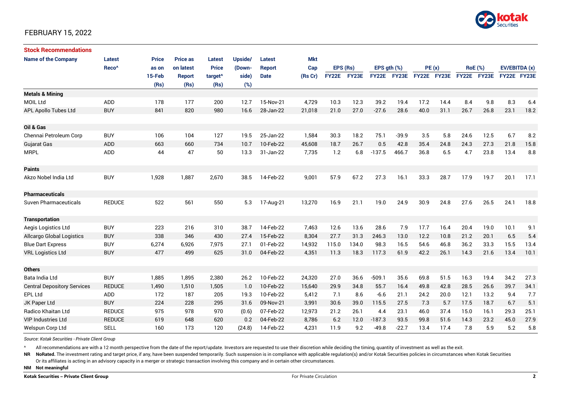

| <b>Stock Recommendations</b>       |                   |              |                 |                     |         |               |            |              |       |                  |             |             |      |                |             |               |      |
|------------------------------------|-------------------|--------------|-----------------|---------------------|---------|---------------|------------|--------------|-------|------------------|-------------|-------------|------|----------------|-------------|---------------|------|
| <b>Name of the Company</b>         | <b>Latest</b>     | <b>Price</b> | <b>Price as</b> | Latest              | Upside/ | Latest        | <b>Mkt</b> |              |       |                  |             |             |      |                |             |               |      |
|                                    | Reco <sup>^</sup> | as on        | on latest       | <b>Price</b>        | (Down-  | <b>Report</b> | Cap        | EPS (Rs)     |       | EPS $qth$ $(\%)$ |             | PE(x)       |      | <b>RoE</b> (%) |             | EV/EBITDA (x) |      |
|                                    |                   | 15-Feb       | <b>Report</b>   | target <sup>^</sup> | side)   | <b>Date</b>   | (Rs Cr)    | <b>FY22E</b> | FY23E |                  | FY22E FY23E | FY22E FY23E |      |                | FY22E FY23E | FY22E FY23E   |      |
|                                    |                   | (Rs)         | (Rs)            | (Rs)                | (%)     |               |            |              |       |                  |             |             |      |                |             |               |      |
| <b>Metals &amp; Mining</b>         |                   |              |                 |                     |         |               |            |              |       |                  |             |             |      |                |             |               |      |
| <b>MOIL Ltd</b>                    | ADD               | 178          | 177             | 200                 | 12.7    | 15-Nov-21     | 4,729      | 10.3         | 12.3  | 39.2             | 19.4        | 17.2        | 14.4 | 8.4            | 9.8         | 8.3           | 6.4  |
| <b>APL Apollo Tubes Ltd</b>        | <b>BUY</b>        | 841          | 820             | 980                 | 16.6    | 28-Jan-22     | 21,018     | 21.0         | 27.0  | $-27.6$          | 28.6        | 40.0        | 31.1 | 26.7           | 26.8        | 23.1          | 18.2 |
|                                    |                   |              |                 |                     |         |               |            |              |       |                  |             |             |      |                |             |               |      |
| Oil & Gas                          |                   |              |                 |                     |         |               |            |              |       |                  |             |             |      |                |             |               |      |
| Chennai Petroleum Corp             | <b>BUY</b>        | 106          | 104             | 127                 | 19.5    | 25-Jan-22     | 1,584      | 30.3         | 18.2  | 75.1             | $-39.9$     | 3.5         | 5.8  | 24.6           | 12.5        | 6.7           | 8.2  |
| Gujarat Gas                        | <b>ADD</b>        | 663          | 660             | 734                 | 10.7    | 10-Feb-22     | 45,608     | 18.7         | 26.7  | 0.5              | 42.8        | 35.4        | 24.8 | 24.3           | 27.3        | 21.8          | 15.8 |
| <b>MRPL</b>                        | ADD               | 44           | 47              | 50                  | 13.3    | 31-Jan-22     | 7,735      | 1.2          | 6.8   | $-137.5$         | 466.7       | 36.8        | 6.5  | 4.7            | 23.8        | 13.4          | 8.8  |
| <b>Paints</b>                      |                   |              |                 |                     |         |               |            |              |       |                  |             |             |      |                |             |               |      |
| Akzo Nobel India Ltd               | <b>BUY</b>        | 1,928        | 1,887           | 2,670               | 38.5    | 14-Feb-22     | 9,001      | 57.9         | 67.2  | 27.3             | 16.1        | 33.3        | 28.7 | 17.9           | 19.7        | 20.1          | 17.1 |
|                                    |                   |              |                 |                     |         |               |            |              |       |                  |             |             |      |                |             |               |      |
| <b>Pharmaceuticals</b>             |                   |              |                 |                     |         |               |            |              |       |                  |             |             |      |                |             |               |      |
| Suven Pharmaceuticals              | <b>REDUCE</b>     | 522          | 561             | 550                 | 5.3     | 17-Aug-21     | 13,270     | 16.9         | 21.1  | 19.0             | 24.9        | 30.9        | 24.8 | 27.6           | 26.5        | 24.1          | 18.8 |
| <b>Transportation</b>              |                   |              |                 |                     |         |               |            |              |       |                  |             |             |      |                |             |               |      |
| Aegis Logistics Ltd                | <b>BUY</b>        | 223          | 216             | 310                 | 38.7    | 14-Feb-22     | 7,463      | 12.6         | 13.6  | 28.6             | 7.9         | 17.7        | 16.4 | 20.4           | 19.0        | 10.1          | 9.1  |
| <b>Allcargo Global Logistics</b>   | <b>BUY</b>        | 338          | 346             | 430                 | 27.4    | 15-Feb-22     | 8,304      | 27.7         | 31.3  | 246.3            | 13.0        | 12.2        | 10.8 | 21.2           | 20.1        | 6.5           | 5.4  |
| <b>Blue Dart Express</b>           | <b>BUY</b>        | 6,274        | 6,926           | 7,975               | 27.1    | 01-Feb-22     | 14,932     | 115.0        | 134.0 | 98.3             | 16.5        | 54.6        | 46.8 | 36.2           | 33.3        | 15.5          | 13.4 |
| <b>VRL Logistics Ltd</b>           | <b>BUY</b>        | 477          | 499             | 625                 | 31.0    | 04-Feb-22     | 4,351      | 11.3         | 18.3  | 117.3            | 61.9        | 42.2        | 26.1 | 14.3           | 21.6        | 13.4          | 10.1 |
|                                    |                   |              |                 |                     |         |               |            |              |       |                  |             |             |      |                |             |               |      |
| <b>Others</b>                      |                   |              |                 |                     |         |               |            |              |       |                  |             |             |      |                |             |               |      |
| Bata India Ltd                     | <b>BUY</b>        | 1,885        | 1,895           | 2,380               | 26.2    | 10-Feb-22     | 24,320     | 27.0         | 36.6  | $-509.1$         | 35.6        | 69.8        | 51.5 | 16.3           | 19.4        | 34.2          | 27.3 |
| <b>Central Depository Services</b> | <b>REDUCE</b>     | 1,490        | 1,510           | 1,505               | 1.0     | 10-Feb-22     | 15,640     | 29.9         | 34.8  | 55.7             | 16.4        | 49.8        | 42.8 | 28.5           | 26.6        | 39.7          | 34.1 |
| EPL Ltd                            | ADD               | 172          | 187             | 205                 | 19.3    | 10-Feb-22     | 5,412      | 7.1          | 8.6   | $-6.6$           | 21.1        | 24.2        | 20.0 | 12.1           | 13.2        | 9.4           | 7.7  |
| JK Paper Ltd                       | <b>BUY</b>        | 224          | 228             | 295                 | 31.6    | 09-Nov-21     | 3,991      | 30.6         | 39.0  | 115.5            | 27.5        | 7.3         | 5.7  | 17.5           | 18.7        | 6.7           | 5.1  |
| Radico Khaitan Ltd                 | <b>REDUCE</b>     | 975          | 978             | 970                 | (0.6)   | 07-Feb-22     | 12,973     | 21.2         | 26.1  | 4.4              | 23.1        | 46.0        | 37.4 | 15.0           | 16.1        | 29.3          | 25.1 |
| <b>VIP Industries Ltd</b>          | <b>REDUCE</b>     | 619          | 648             | 620                 | 0.2     | 04-Feb-22     | 8,786      | 6.2          | 12.0  | $-187.3$         | 93.5        | 99.8        | 51.6 | 14.3           | 23.2        | 45.0          | 27.9 |
| Welspun Corp Ltd                   | <b>SELL</b>       | 160          | 173             | 120                 | (24.8)  | 14-Feb-22     | 4,231      | 11.9         | 9.2   | $-49.8$          | $-22.7$     | 13.4        | 17.4 | 7.8            | 5.9         | 5.2           | 5.8  |

*Source: Kotak Securities - Private Client Group*

All recommendations are with a 12 month perspective from the date of the report/update. Investors are requested to use their discretion while deciding the timing, quantity of investment as well as the exit.

NR NoRated. The investment rating and target price, if any, have been suspended temporarily. Such suspension is in compliance with applicable regulation(s) and/or Kotak Securities policies in circumstances when Kotak Secur

Or its affiliates is acting in an advisory capacity in a merger or strategic transaction involving this company and in certain other circumstances.

**NM Not meaningful**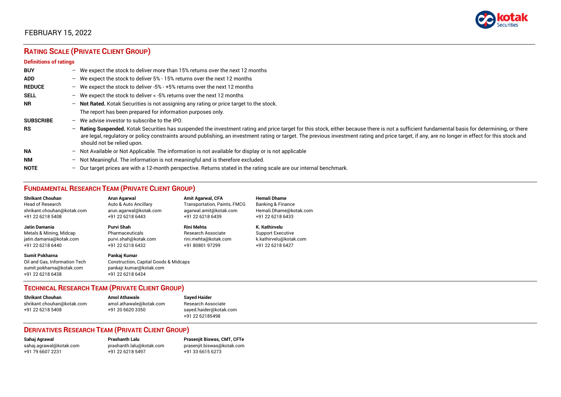

# **RATING SCALE (PRIVATE CLIENT GROUP)**

#### **Definitions of ratings**

| <b>BUY</b>       |   | - We expect the stock to deliver more than 15% returns over the next 12 months                                                                                                                                                                                                                                                                                                                                                     |
|------------------|---|------------------------------------------------------------------------------------------------------------------------------------------------------------------------------------------------------------------------------------------------------------------------------------------------------------------------------------------------------------------------------------------------------------------------------------|
| <b>ADD</b>       |   | - We expect the stock to deliver 5% - 15% returns over the next 12 months                                                                                                                                                                                                                                                                                                                                                          |
| <b>REDUCE</b>    |   | - We expect the stock to deliver -5% - +5% returns over the next 12 months                                                                                                                                                                                                                                                                                                                                                         |
| <b>SELL</b>      |   | - We expect the stock to deliver $\lt$ -5% returns over the next 12 months                                                                                                                                                                                                                                                                                                                                                         |
| <b>NR</b>        |   | - Not Rated. Kotak Securities is not assigning any rating or price target to the stock.                                                                                                                                                                                                                                                                                                                                            |
|                  |   | The report has been prepared for information purposes only.                                                                                                                                                                                                                                                                                                                                                                        |
| <b>SUBSCRIBE</b> |   | $-$ We advise investor to subscribe to the IPO.                                                                                                                                                                                                                                                                                                                                                                                    |
| <b>RS</b>        |   | - Rating Suspended. Kotak Securities has suspended the investment rating and price target for this stock, either because there is not a sufficient fundamental basis for determining, or there<br>are legal, regulatory or policy constraints around publishing, an investment rating or target. The previous investment rating and price target, if any, are no longer in effect for this stock and<br>should not be relied upon. |
| <b>NA</b>        |   | $-$ Not Available or Not Applicable. The information is not available for display or is not applicable                                                                                                                                                                                                                                                                                                                             |
| <b>NM</b>        |   | - Not Meaningful. The information is not meaningful and is therefore excluded.                                                                                                                                                                                                                                                                                                                                                     |
| <b>NOTE</b>      | - | Our target prices are with a 12-month perspective. Returns stated in the rating scale are our internal benchmark.                                                                                                                                                                                                                                                                                                                  |

## **FUNDAMENTAL RESEARCH TEAM (PRIVATE CLIENT GROUP)**

| <b>Shrikant Chouhan</b>                                                                                | <b>Arun Agarwal</b>                                                                                             | <b>Amit Agarwal, CFA</b>            | <b>Hemali Dhame</b>      |
|--------------------------------------------------------------------------------------------------------|-----------------------------------------------------------------------------------------------------------------|-------------------------------------|--------------------------|
| <b>Head of Research</b>                                                                                | Auto & Auto Ancillary                                                                                           | <b>Transportation, Paints, FMCG</b> | Banking & Finance        |
| shrikant.chouhan@kotak.com                                                                             | arun.agarwal@kotak.com                                                                                          | agarwal.amit@kotak.com              | Hemali.Dhame@kotak.com   |
| +91 22 6218 5408                                                                                       | +91 22 6218 6443                                                                                                | +91 22 6218 6439                    | +91 22 6218 6433         |
| <b>Jatin Damania</b>                                                                                   | Purvi Shah                                                                                                      | <b>Rini Mehta</b>                   | K. Kathirvelu            |
| Metals & Mining, Midcap                                                                                | Pharmaceuticals                                                                                                 | <b>Research Associate</b>           | <b>Support Executive</b> |
| jatin.damania@kotak.com                                                                                | purvi.shah@kotak.com                                                                                            | rini.mehta@kotak.com                | k.kathirvelu@kotak.com   |
| +91 22 6218 6440                                                                                       | +91 22 6218 6432                                                                                                | +91 80801 97299                     | +91 22 6218 6427         |
| <b>Sumit Pokharna</b><br>Oil and Gas. Information Tech<br>sumit.pokharna@kotak.com<br>+91 22 6218 6438 | Pankaj Kumar<br><b>Construction, Capital Goods &amp; Midcaps</b><br>pankajr.kumar@kotak.com<br>+91 22 6218 6434 |                                     |                          |

#### **TECHNICAL RESEARCH TEAM (PRIVATE CLIENT GROUP)**

| <b>Shrikant Chouhan</b>    | <b>Amol Athawale</b>    |  |
|----------------------------|-------------------------|--|
| shrikant.chouhan@kotak.com | amol.athawale@kotak.com |  |
| +91 22 6218 5408           | +91 20 6620 3350        |  |
|                            |                         |  |

#### **Sayed Haider** Research Associate [sayed.haider@kotak.com](mailto:sayed.haider@kotak.com) +91 22 62185498

#### **DERIVATIVES RESEARCH TEAM (PRIVATE CLIENT GROUP)**

+91 22 6218 5497 +91 33 6615 6273

**Sahaj Agrawal Prashanth Lalu Prasenjit Biswas, CMT, CFTe** [sahaj.agrawal@kotak.com](mailto:sahaj.agrawal@kotak.com) [prashanth.lalu@kotak.com](mailto:prashanth.lalu@kotak.com) [prasenjit.biswas@kotak.com](mailto:prasenjit.biswas@kotak.com)